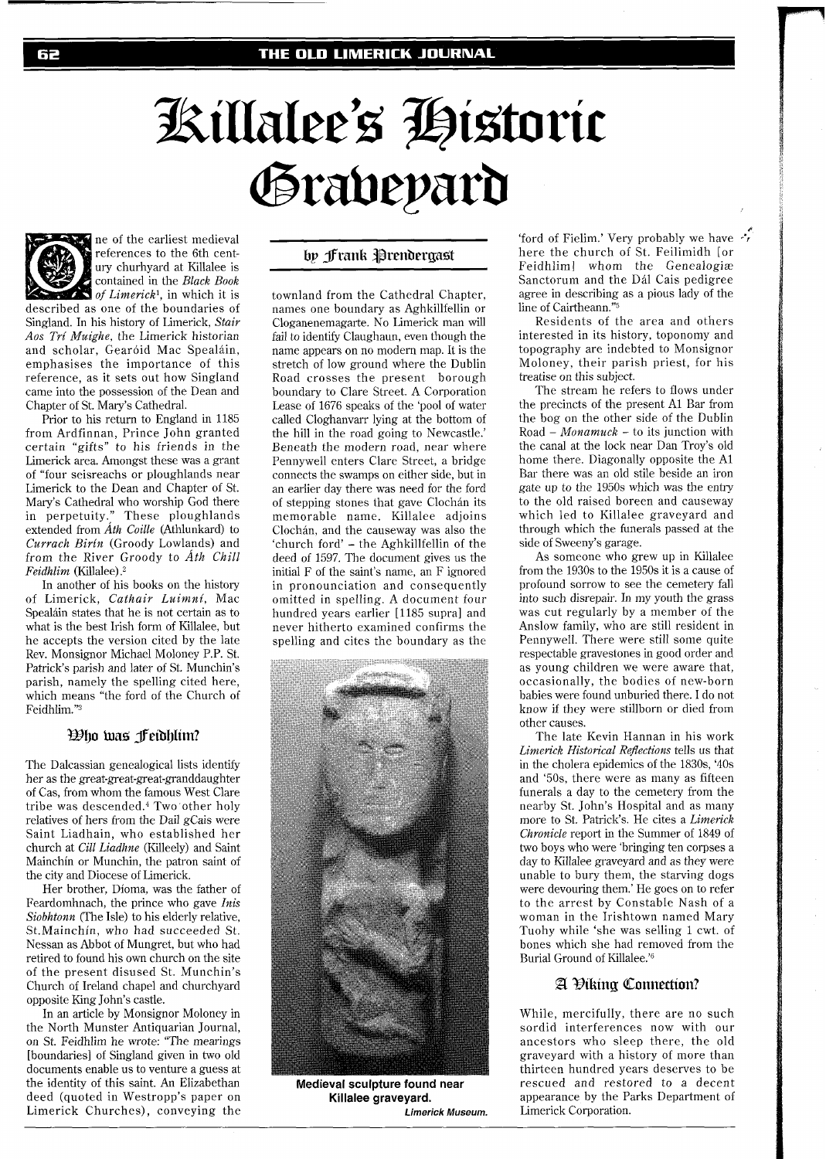# Killalee's Historic Grabepard



#### ne of the earliest medieval references to the 6th century churhyard at Killalee is contained in the *Black Book*

*of Limerickl,* in which it is described as one of the boundaries of Singland. In his history of Limerick, *Stair Aos Tri Muighe,* the Limerick historian and scholar, Gearóid Mac Spealáin, emphasises the importance of this reference, as it sets out how Singland came into the possession of the Dean and Chapter of St. Mary's Cathedral.

Prior to his return to England in 1185 from Ardfinnan, Prince John granted certain "gifts" to his friends in the Limerick area. Amongst these was a grant of "four seisreachs or ploughlands near Limerick to the Dean and Chapter of St. Mary's Cathedral who worship God there in perpetuity." These ploughlands extended from *Ath Coille* (Athlunkard) to *Currach Birin* (Groody Lowlands) and from the River Groody to *Ath Chill Feidhlim* (Killalee) .2

In another of his books on the history of Limerick, *Cathair Luimni,* Mac Spealáin states that he is not certain as to what is the best Irish form of Killalee, but he accepts the version cited by the late Rev. Monsignor Michael Moloney P.P. St. Patrick's parish and later of St. Munchin's parish, namely the spelling cited here, which means "the ford of the Church of Feidhlim."3

## Who was feidhlim?

The Dalcassian genealogical lists identify her as the great-great-great-granddaughter of Cas, from whom the famous West Clare tribe was descended.<sup>4</sup> Two other holy relatives of hers from the Dail gCais were Saint Liadhain, who established her church at *Cill Liadhne* (Killeely) and Saint Mainchin or Munchin, the patron saint of the city and Diocese of Limerick.

Her brother, Dioma, was the father of Feardomhnach, the prince who gave *Znis Siobhtonn* (The Isle) to his elderly relative, St.Mainchin, who had succeeded St. Nessan as Abbot of Mungret, but who had retired to found his own church on the site of the present disused St. Munchin's Church of Ireland chapel and churchyard opposite King John's castle.

In an article by Monsignor Moloney in the North Munster Antiquarian Journal, on St. Feidhlim he wrote: *"The* mearings [boundaries] of Singland given in two old documents enable us to venture a guess at the identity of this saint. An Elizabethan deed (quoted in Westropp's paper on Limerick Churches), conveying the

## by frank Prendergast

townland from the Cathedral Chapter, names one boundary as Aghkillfellin or Cloganenemagarte. No Limerick man will fail to identify Claughaun, even though the name appears on no modern map. It is the stretch of low ground where the Dublin Road crosses the present borough boundary to Clare Street. A Corporation Lease of 1676 speaks of the 'pool of water called Cloghanvarr lying at the bottom of the hill in the road going to Newcastle.' Beneath the modern road, near where Pennywell enters Clare Street, a bridge connects the swamps on either side, but in an earlier day there was need for the ford of stepping stones that gave Clochan its memorable name. Killalee adjoins Clochán, and the causeway was also the 'church ford' - the Aghkillfellin of the deed of 1597. The document gives us the initial F of the saint's name, an F ignored in pronounciation and consequently omitted in spelling. A document four hundred years earlier [l185 supra] and never hitherto examined confirms the spelling and cites the boundary as the



**Medieval sculpture found near Killalee graveyard. Limerick Museum.** 

'ford of Fielim.' Very probably we have **s'r**  here the church of St. Feilimidh [or Feidhlim] whom the Genealogiæ Sanctorum and the Dál Cais pedigree agree in describing as a pious lady of the line of Cairtheann."

#

Residents of the area and others interested in its history, toponomy and topography are indebted to Monsignor Moloney, their parish priest, for his treatise on this subject.

The stream he refers to flows under the precincts of the present A1 Bar from the bog on the other side of the Dublin Road - *Monamuck* - to its junction with the canal at the lock near Dan Troy's old home there. Diagonally opposite the A1 Bar there was an old stile beside an iron gate up to the 1950s which was the entry to the old raised boreen and causeway which led to Killalee graveyard and through which the funerals passed at the side of Sweeny's garage.

As someone who grew up in Killalee from the 1930s to the 1950s it is a cause of profound sorrow to see the cemetery fall into such disrepair. In my youth the grass was cut regularly by a member of the Anslow family, who are still resident in Pennywell. There were still some quite respectable gravestones in good order and as young children we were aware that, occasionally, the bodies of new-born babies were found unburied there. I do not know if they were stillborn or died from other causes.

The late Kevin Hannan in his work *Limerick Historical Reflections* tells us that in the cholera epidemics of the 1830s, '40s and '50s, there were as many as fifteen funerals a day to the cemetery from the nearby St. John's Hospital and as many more to St. Patrick's. He cites a *Limerick Chronicle* report in the Summer of 1849 of two boys who were 'bringing ten corpses a day to Killalee graveyard and as they were unable to bury them, the starving dogs were devouring them.' He goes on to refer to the arrest by Constable Nash of a woman in the lrishtown named Mary Tuohy while 'she was selling 1 cwt. of bones which she had removed from the Burial Ground of Killalee.'6

## A Diking Connection?

While, mercifully, there are no such sordid interferences now with our ancestors who sleep there, the old graveyard with a history of more than thirteen hundred years deserves to be rescued and restored to a decent appearance by the Parks Department of Limerick Corporation.